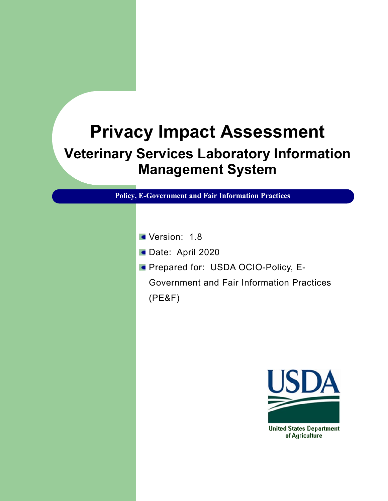# **Privacy Impact Assessment Veterinary Services Laboratory Information Management System**

**Policy, E-Government and Fair Information Practices**

- Version: 1.8
- Date: April 2020
- **Prepared for: USDA OCIO-Policy, E-**Government and Fair Information Practices (PE&F)



of Agriculture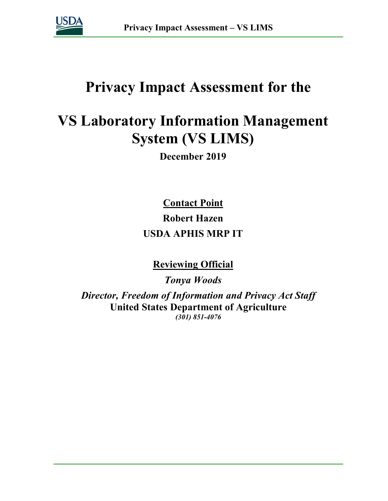

# **Privacy Impact Assessment for the**

# **VS Laboratory Information Management System (VS LIMS)**

**December 2019**

**Contact Point Robert Hazen USDA APHIS MRP IT**

**Reviewing Official** 

*Tonya Woods Director, Freedom of Information and Privacy Act Staff* **United States Department of Agriculture** *(301) 851-4076*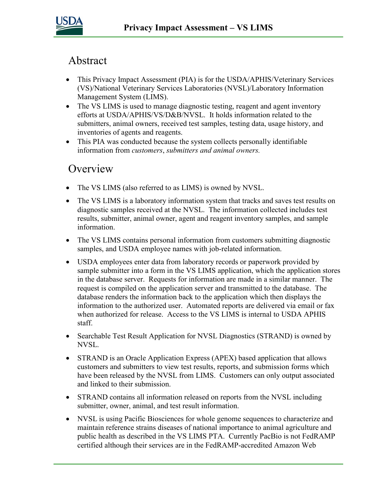

# Abstract

- This Privacy Impact Assessment (PIA) is for the USDA/APHIS/Veterinary Services (VS)/National Veterinary Services Laboratories (NVSL)/Laboratory Information Management System (LIMS).
- The VS LIMS is used to manage diagnostic testing, reagent and agent inventory efforts at USDA/APHIS/VS/D&B/NVSL. It holds information related to the submitters, animal owners, received test samples, testing data, usage history, and inventories of agents and reagents.
- This PIA was conducted because the system collects personally identifiable information from *customers*, *submitters and animal owners.*

### **Overview**

- The VS LIMS (also referred to as LIMS) is owned by NVSL.
- The VS LIMS is a laboratory information system that tracks and saves test results on diagnostic samples received at the NVSL. The information collected includes test results, submitter, animal owner, agent and reagent inventory samples, and sample information.
- The VS LIMS contains personal information from customers submitting diagnostic samples, and USDA employee names with job-related information.
- USDA employees enter data from laboratory records or paperwork provided by sample submitter into a form in the VS LIMS application, which the application stores in the database server. Requests for information are made in a similar manner. The request is compiled on the application server and transmitted to the database. The database renders the information back to the application which then displays the information to the authorized user. Automated reports are delivered via email or fax when authorized for release. Access to the VS LIMS is internal to USDA APHIS staff.
- Searchable Test Result Application for NVSL Diagnostics (STRAND) is owned by NVSL.
- STRAND is an Oracle Application Express (APEX) based application that allows customers and submitters to view test results, reports, and submission forms which have been released by the NVSL from LIMS. Customers can only output associated and linked to their submission.
- STRAND contains all information released on reports from the NVSL including submitter, owner, animal, and test result information.
- NVSL is using Pacific Biosciences for whole genome sequences to characterize and maintain reference strains diseases of national importance to animal agriculture and public health as described in the VS LIMS PTA. Currently PacBio is not FedRAMP certified although their services are in the FedRAMP-accredited Amazon Web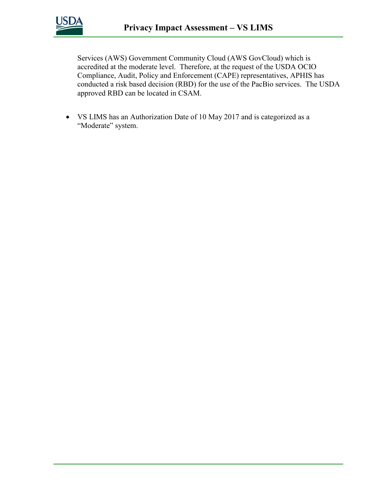

Services (AWS) Government Community Cloud (AWS GovCloud) which is accredited at the moderate level. Therefore, at the request of the USDA OCIO Compliance, Audit, Policy and Enforcement (CAPE) representatives, APHIS has conducted a risk based decision (RBD) for the use of the PacBio services. The USDA approved RBD can be located in CSAM.

• VS LIMS has an Authorization Date of 10 May 2017 and is categorized as a "Moderate" system.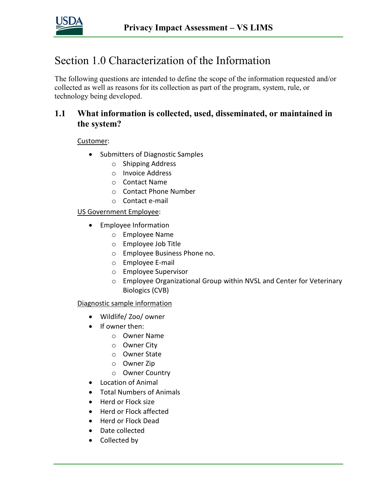

# Section 1.0 Characterization of the Information

The following questions are intended to define the scope of the information requested and/or collected as well as reasons for its collection as part of the program, system, rule, or technology being developed.

### **1.1 What information is collected, used, disseminated, or maintained in the system?**

Customer:

- Submitters of Diagnostic Samples
	- o Shipping Address
	- o Invoice Address
	- o Contact Name
	- o Contact Phone Number
	- o Contact e-mail

#### US Government Employee:

- Employee Information
	- o Employee Name
	- o Employee Job Title
	- o Employee Business Phone no.
	- o Employee E-mail
	- o Employee Supervisor
	- o Employee Organizational Group within NVSL and Center for Veterinary Biologics (CVB)

Diagnostic sample information

- Wildlife/ Zoo/ owner
- If owner then:
	- o Owner Name
	- o Owner City
	- o Owner State
	- o Owner Zip
	- o Owner Country
- Location of Animal
- Total Numbers of Animals
- Herd or Flock size
- Herd or Flock affected
- Herd or Flock Dead
- Date collected
- Collected by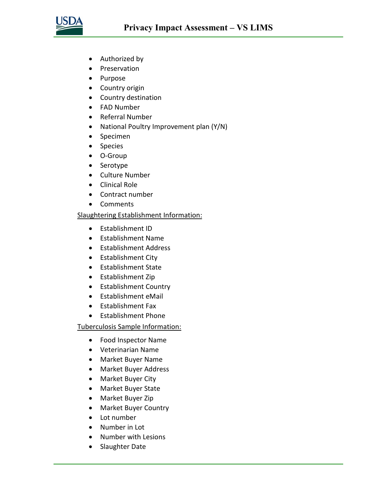

- Authorized by
- Preservation
- Purpose
- Country origin
- Country destination
- FAD Number
- Referral Number
- National Poultry Improvement plan (Y/N)
- Specimen
- Species
- O-Group
- Serotype
- Culture Number
- Clinical Role
- Contract number
- Comments

#### Slaughtering Establishment Information:

- Establishment ID
- Establishment Name
- Establishment Address
- Establishment City
- Establishment State
- Establishment Zip
- Establishment Country
- Establishment eMail
- Establishment Fax
- Establishment Phone

Tuberculosis Sample Information:

- Food Inspector Name
- Veterinarian Name
- Market Buyer Name
- Market Buyer Address
- Market Buyer City
- Market Buyer State
- Market Buyer Zip
- Market Buyer Country
- Lot number
- Number in Lot
- Number with Lesions
- Slaughter Date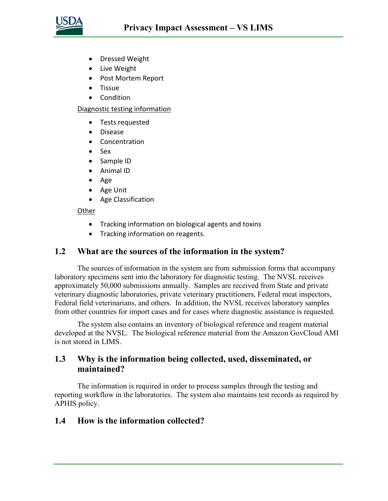

- Dressed Weight
- Live Weight
- Post Mortem Report
- Tissue
- Condition

Diagnostic testing information

- Tests requested
- Disease
- Concentration
- Sex
- Sample ID
- Animal ID
- Age
- Age Unit
- Age Classification

#### **Other**

- Tracking information on biological agents and toxins
- Tracking information on reagents.

#### **1.2 What are the sources of the information in the system?**

The sources of information in the system are from submission forms that accompany laboratory specimens sent into the laboratory for diagnostic testing. The NVSL receives approximately 50,000 submissions annually. Samples are received from State and private veterinary diagnostic laboratories, private veterinary practitioners, Federal meat inspectors, Federal field veterinarians, and others. In addition, the NVSL receives laboratory samples from other countries for import cases and for cases where diagnostic assistance is requested.

The system also contains an inventory of biological reference and reagent material developed at the NVSL. The biological reference material from the Amazon GovCloud AMI is not stored in LIMS.

### **1.3 Why is the information being collected, used, disseminated, or maintained?**

The information is required in order to process samples through the testing and reporting workflow in the laboratories. The system also maintains test records as required by APHIS policy.

#### **1.4 How is the information collected?**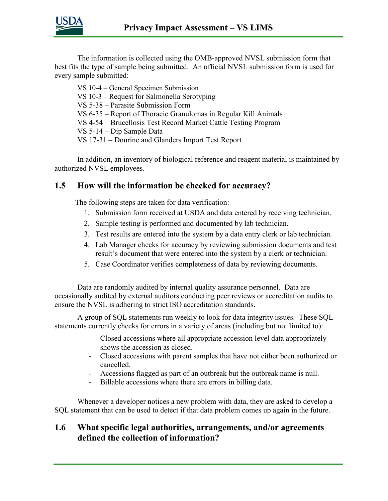

The information is collected using the OMB-approved NVSL submission form that best fits the type of sample being submitted. An official NVSL submission form is used for every sample submitted:

VS 10-4 – General Specimen Submission VS 10-3 – Request for Salmonella Serotyping VS 5-38 – Parasite Submission Form VS 6-35 – Report of Thoracic Granulomas in Regular Kill Animals VS 4-54 – Brucellosis Test Record Market Cattle Testing Program VS 5-14 – Dip Sample Data VS 17-31 – Dourine and Glanders Import Test Report

In addition, an inventory of biological reference and reagent material is maintained by authorized NVSL employees.

### **1.5 How will the information be checked for accuracy?**

The following steps are taken for data verification:

- 1. Submission form received at USDA and data entered by receiving technician.
- 2. Sample testing is performed and documented by lab technician.
- 3. Test results are entered into the system by a data entry clerk or lab technician.
- 4. Lab Manager checks for accuracy by reviewing submission documents and test result's document that were entered into the system by a clerk or technician.
- 5. Case Coordinator verifies completeness of data by reviewing documents.

Data are randomly audited by internal quality assurance personnel. Data are occasionally audited by external auditors conducting peer reviews or accreditation audits to ensure the NVSL is adhering to strict ISO accreditation standards.

A group of SQL statements run weekly to look for data integrity issues. These SQL statements currently checks for errors in a variety of areas (including but not limited to):

- Closed accessions where all appropriate accession level data appropriately shows the accession as closed.
- Closed accessions with parent samples that have not either been authorized or cancelled.
- Accessions flagged as part of an outbreak but the outbreak name is null.
- Billable accessions where there are errors in billing data.

Whenever a developer notices a new problem with data, they are asked to develop a SQL statement that can be used to detect if that data problem comes up again in the future.

### **1.6 What specific legal authorities, arrangements, and/or agreements defined the collection of information?**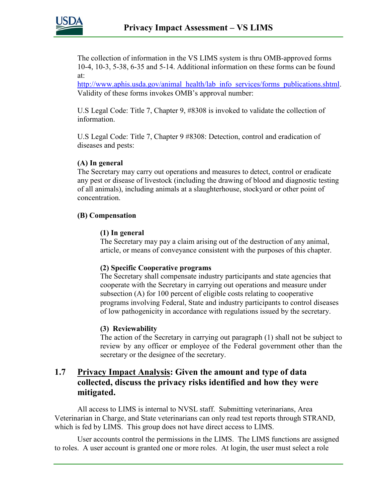

The collection of information in the VS LIMS system is thru OMB-approved forms 10-4, 10-3, 5-38, 6-35 and 5-14. Additional information on these forms can be found at:

[http://www.aphis.usda.gov/animal\\_health/lab\\_info\\_services/forms\\_publications.shtml.](http://www.aphis.usda.gov/animal_health/lab_info_services/forms_publications.shtml) Validity of these forms invokes OMB's approval number:

U.S Legal Code: Title 7, Chapter 9, #8308 is invoked to validate the collection of information.

U.S Legal Code: Title 7, Chapter 9 #8308: Detection, control and eradication of diseases and pests:

#### **(A) In general**

The Secretary may carry out operations and measures to detect, control or eradicate any pest or disease of livestock (including the drawing of blood and diagnostic testing of all animals), including animals at a slaughterhouse, stockyard or other point of concentration.

#### **(B) Compensation**

#### **(1) In general**

The Secretary may pay a claim arising out of the destruction of any animal, article, or means of conveyance consistent with the purposes of this chapter.

#### **(2) Specific Cooperative programs**

The Secretary shall compensate industry participants and state agencies that cooperate with the Secretary in carrying out operations and measure under subsection (A) for 100 percent of eligible costs relating to cooperative programs involving Federal, State and industry participants to control diseases of low pathogenicity in accordance with regulations issued by the secretary.

#### **(3) Reviewability**

The action of the Secretary in carrying out paragraph (1) shall not be subject to review by any officer or employee of the Federal government other than the secretary or the designee of the secretary.

#### **1.7 Privacy Impact Analysis: Given the amount and type of data collected, discuss the privacy risks identified and how they were mitigated.**

All access to LIMS is internal to NVSL staff. Submitting veterinarians, Area Veterinarian in Charge, and State veterinarians can only read test reports through STRAND, which is fed by LIMS. This group does not have direct access to LIMS.

User accounts control the permissions in the LIMS. The LIMS functions are assigned to roles. A user account is granted one or more roles. At login, the user must select a role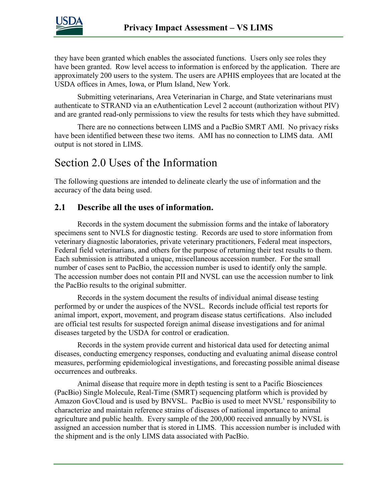

they have been granted which enables the associated functions. Users only see roles they have been granted. Row level access to information is enforced by the application. There are approximately 200 users to the system. The users are APHIS employees that are located at the USDA offices in Ames, Iowa, or Plum Island, New York.

Submitting veterinarians, Area Veterinarian in Charge, and State veterinarians must authenticate to STRAND via an eAuthentication Level 2 account (authorization without PIV) and are granted read-only permissions to view the results for tests which they have submitted.

There are no connections between LIMS and a PacBio SMRT AMI. No privacy risks have been identified between these two items. AMI has no connection to LIMS data. AMI output is not stored in LIMS.

### Section 2.0 Uses of the Information

The following questions are intended to delineate clearly the use of information and the accuracy of the data being used.

#### **2.1 Describe all the uses of information.**

Records in the system document the submission forms and the intake of laboratory specimens sent to NVLS for diagnostic testing. Records are used to store information from veterinary diagnostic laboratories, private veterinary practitioners, Federal meat inspectors, Federal field veterinarians, and others for the purpose of returning their test results to them. Each submission is attributed a unique, miscellaneous accession number. For the small number of cases sent to PacBio, the accession number is used to identify only the sample. The accession number does not contain PII and NVSL can use the accession number to link the PacBio results to the original submitter.

Records in the system document the results of individual animal disease testing performed by or under the auspices of the NVSL. Records include official test reports for animal import, export, movement, and program disease status certifications. Also included are official test results for suspected foreign animal disease investigations and for animal diseases targeted by the USDA for control or eradication.

Records in the system provide current and historical data used for detecting animal diseases, conducting emergency responses, conducting and evaluating animal disease control measures, performing epidemiological investigations, and forecasting possible animal disease occurrences and outbreaks.

Animal disease that require more in depth testing is sent to a Pacific Biosciences (PacBio) Single Molecule, Real-Time (SMRT) sequencing platform which is provided by Amazon GovCloud and is used by BNVSL. PacBio is used to meet NVSL' responsibility to characterize and maintain reference strains of diseases of national importance to animal agriculture and public health. Every sample of the 200,000 received annually by NVSL is assigned an accession number that is stored in LIMS. This accession number is included with the shipment and is the only LIMS data associated with PacBio.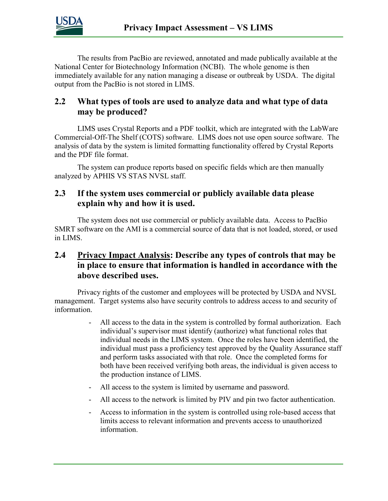

The results from PacBio are reviewed, annotated and made publically available at the National Center for Biotechnology Information (NCBI). The whole genome is then immediately available for any nation managing a disease or outbreak by USDA. The digital output from the PacBio is not stored in LIMS.

#### **2.2 What types of tools are used to analyze data and what type of data may be produced?**

LIMS uses Crystal Reports and a PDF toolkit, which are integrated with the LabWare Commercial-Off-The Shelf (COTS) software. LIMS does not use open source software. The analysis of data by the system is limited formatting functionality offered by Crystal Reports and the PDF file format.

The system can produce reports based on specific fields which are then manually analyzed by APHIS VS STAS NVSL staff.

#### **2.3 If the system uses commercial or publicly available data please explain why and how it is used.**

The system does not use commercial or publicly available data. Access to PacBio SMRT software on the AMI is a commercial source of data that is not loaded, stored, or used in LIMS.

#### **2.4 Privacy Impact Analysis: Describe any types of controls that may be in place to ensure that information is handled in accordance with the above described uses.**

Privacy rights of the customer and employees will be protected by USDA and NVSL management. Target systems also have security controls to address access to and security of information.

- All access to the data in the system is controlled by formal authorization. Each individual's supervisor must identify (authorize) what functional roles that individual needs in the LIMS system. Once the roles have been identified, the individual must pass a proficiency test approved by the Quality Assurance staff and perform tasks associated with that role. Once the completed forms for both have been received verifying both areas, the individual is given access to the production instance of LIMS.
- All access to the system is limited by username and password.
- All access to the network is limited by PIV and pin two factor authentication.
- Access to information in the system is controlled using role-based access that limits access to relevant information and prevents access to unauthorized information.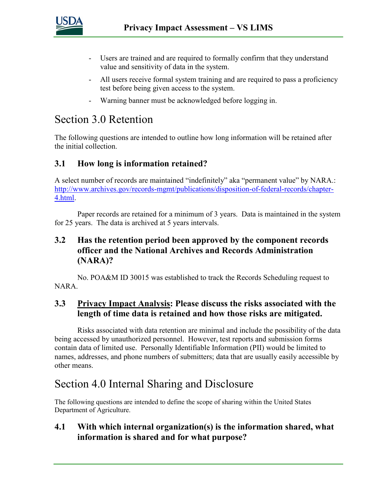

- Users are trained and are required to formally confirm that they understand value and sensitivity of data in the system.
- All users receive formal system training and are required to pass a proficiency test before being given access to the system.
- Warning banner must be acknowledged before logging in.

# Section 3.0 Retention

The following questions are intended to outline how long information will be retained after the initial collection.

### **3.1 How long is information retained?**

A select number of records are maintained "indefinitely" aka "permanent value" by NARA.: [http://www.archives.gov/records-mgmt/publications/disposition-of-federal-records/chapter-](http://www.archives.gov/records-mgmt/publications/disposition-of-federal-records/chapter-4.html)[4.html.](http://www.archives.gov/records-mgmt/publications/disposition-of-federal-records/chapter-4.html)

Paper records are retained for a minimum of 3 years. Data is maintained in the system for 25 years. The data is archived at 5 years intervals.

### **3.2 Has the retention period been approved by the component records officer and the National Archives and Records Administration (NARA)?**

No. POA&M ID 30015 was established to track the Records Scheduling request to NARA.

### **3.3 Privacy Impact Analysis: Please discuss the risks associated with the length of time data is retained and how those risks are mitigated.**

Risks associated with data retention are minimal and include the possibility of the data being accessed by unauthorized personnel. However, test reports and submission forms contain data of limited use. Personally Identifiable Information (PII) would be limited to names, addresses, and phone numbers of submitters; data that are usually easily accessible by other means.

## Section 4.0 Internal Sharing and Disclosure

The following questions are intended to define the scope of sharing within the United States Department of Agriculture.

#### **4.1 With which internal organization(s) is the information shared, what information is shared and for what purpose?**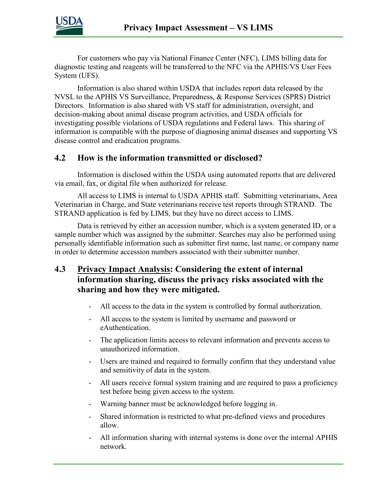

For customers who pay via National Finance Center (NFC), LIMS billing data for diagnostic testing and reagents will be transferred to the NFC via the APHIS/VS User Fees System (UFS).

Information is also shared within USDA that includes report data released by the NVSL to the APHIS VS Surveillance, Preparedness, & Response Services (SPRS) District Directors. Information is also shared with VS staff for administration, oversight, and decision-making about animal disease program activities, and USDA officials for investigating possible violations of USDA regulations and Federal laws. This sharing of information is compatible with the purpose of diagnosing animal diseases and supporting VS disease control and eradication programs.

#### **4.2 How is the information transmitted or disclosed?**

Information is disclosed within the USDA using automated reports that are delivered via email, fax, or digital file when authorized for release.

All access to LIMS is internal to USDA APHIS staff. Submitting veterinarians, Area Veterinarian in Charge, and State veterinarians receive test reports through STRAND. The STRAND application is fed by LIMS, but they have no direct access to LIMS.

Data is retrieved by either an accession number, which is a system generated ID, or a sample number which was assigned by the submitter. Searches may also be performed using personally identifiable information such as submitter first name, last name, or company name in order to determine accession numbers associated with their submitter number.

- **4.3 Privacy Impact Analysis: Considering the extent of internal information sharing, discuss the privacy risks associated with the sharing and how they were mitigated.** 
	- All access to the data in the system is controlled by formal authorization.
	- All access to the system is limited by username and password or eAuthentication.
	- The application limits access to relevant information and prevents access to unauthorized information.
	- Users are trained and required to formally confirm that they understand value and sensitivity of data in the system.
	- All users receive formal system training and are required to pass a proficiency test before being given access to the system.
	- Warning banner must be acknowledged before logging in.
	- Shared information is restricted to what pre-defined views and procedures allow.
	- All information sharing with internal systems is done over the internal APHIS network.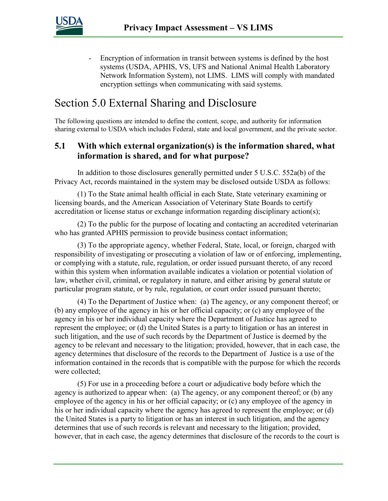

- Encryption of information in transit between systems is defined by the host systems (USDA, APHIS, VS, UFS and National Animal Health Laboratory Network Information System), not LIMS. LIMS will comply with mandated encryption settings when communicating with said systems.

# Section 5.0 External Sharing and Disclosure

The following questions are intended to define the content, scope, and authority for information sharing external to USDA which includes Federal, state and local government, and the private sector.

#### **5.1 With which external organization(s) is the information shared, what information is shared, and for what purpose?**

In addition to those disclosures generally permitted under 5 U.S.C. 552a(b) of the Privacy Act, records maintained in the system may be disclosed outside USDA as follows:

(1) To the State animal health official in each State, State veterinary examining or licensing boards, and the American Association of Veterinary State Boards to certify accreditation or license status or exchange information regarding disciplinary action(s);

(2) To the public for the purpose of locating and contacting an accredited veterinarian who has granted APHIS permission to provide business contact information;

(3) To the appropriate agency, whether Federal, State, local, or foreign, charged with responsibility of investigating or prosecuting a violation of law or of enforcing, implementing, or complying with a statute, rule, regulation, or order issued pursuant thereto, of any record within this system when information available indicates a violation or potential violation of law, whether civil, criminal, or regulatory in nature, and either arising by general statute or particular program statute, or by rule, regulation, or court order issued pursuant thereto;

(4) To the Department of Justice when: (a) The agency, or any component thereof; or (b) any employee of the agency in his or her official capacity; or (c) any employee of the agency in his or her individual capacity where the Department of Justice has agreed to represent the employee; or (d) the United States is a party to litigation or has an interest in such litigation, and the use of such records by the Department of Justice is deemed by the agency to be relevant and necessary to the litigation; provided, however, that in each case, the agency determines that disclosure of the records to the Department of Justice is a use of the information contained in the records that is compatible with the purpose for which the records were collected;

(5) For use in a proceeding before a court or adjudicative body before which the agency is authorized to appear when: (a) The agency, or any component thereof; or (b) any employee of the agency in his or her official capacity; or (c) any employee of the agency in his or her individual capacity where the agency has agreed to represent the employee; or (d) the United States is a party to litigation or has an interest in such litigation, and the agency determines that use of such records is relevant and necessary to the litigation; provided, however, that in each case, the agency determines that disclosure of the records to the court is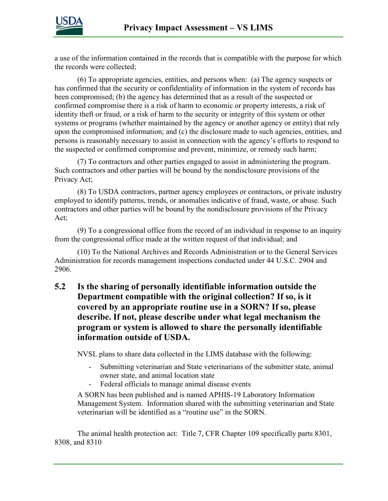

a use of the information contained in the records that is compatible with the purpose for which the records were collected;

(6) To appropriate agencies, entities, and persons when: (a) The agency suspects or has confirmed that the security or confidentiality of information in the system of records has been compromised; (b) the agency has determined that as a result of the suspected or confirmed compromise there is a risk of harm to economic or property interests, a risk of identity theft or fraud, or a risk of harm to the security or integrity of this system or other systems or programs (whether maintained by the agency or another agency or entity) that rely upon the compromised information; and (c) the disclosure made to such agencies, entities, and persons is reasonably necessary to assist in connection with the agency's efforts to respond to the suspected or confirmed compromise and prevent, minimize, or remedy such harm;

(7) To contractors and other parties engaged to assist in administering the program. Such contractors and other parties will be bound by the nondisclosure provisions of the Privacy Act;

(8) To USDA contractors, partner agency employees or contractors, or private industry employed to identify patterns, trends, or anomalies indicative of fraud, waste, or abuse. Such contractors and other parties will be bound by the nondisclosure provisions of the Privacy Act;

(9) To a congressional office from the record of an individual in response to an inquiry from the congressional office made at the written request of that individual; and

(10) To the National Archives and Records Administration or to the General Services Administration for records management inspections conducted under 44 U.S.C. 2904 and 2906.

### **5.2 Is the sharing of personally identifiable information outside the Department compatible with the original collection? If so, is it covered by an appropriate routine use in a SORN? If so, please describe. If not, please describe under what legal mechanism the program or system is allowed to share the personally identifiable information outside of USDA.**

NVSL plans to share data collected in the LIMS database with the following:

- Submitting veterinarian and State veterinarians of the submitter state, animal owner state, and animal location state
- Federal officials to manage animal disease events

A SORN has been published and is named APHIS-19 Laboratory Information Management System. Information shared with the submitting veterinarian and State veterinarian will be identified as a "routine use" in the SORN.

The animal health protection act: Title 7, CFR Chapter 109 specifically parts 8301, 8308, and 8310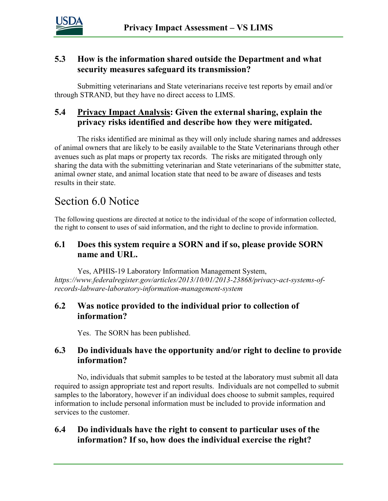

#### **5.3 How is the information shared outside the Department and what security measures safeguard its transmission?**

Submitting veterinarians and State veterinarians receive test reports by email and/or through STRAND, but they have no direct access to LIMS.

### **5.4 Privacy Impact Analysis: Given the external sharing, explain the privacy risks identified and describe how they were mitigated.**

The risks identified are minimal as they will only include sharing names and addresses of animal owners that are likely to be easily available to the State Veterinarians through other avenues such as plat maps or property tax records. The risks are mitigated through only sharing the data with the submitting veterinarian and State veterinarians of the submitter state, animal owner state, and animal location state that need to be aware of diseases and tests results in their state.

## Section 6.0 Notice

The following questions are directed at notice to the individual of the scope of information collected, the right to consent to uses of said information, and the right to decline to provide information.

#### **6.1 Does this system require a SORN and if so, please provide SORN name and URL.**

Yes, APHIS-19 Laboratory Information Management System, *https://www.federalregister.gov/articles/2013/10/01/2013-23868/privacy-act-systems-ofrecords-labware-laboratory-information-management-system*

#### **6.2 Was notice provided to the individual prior to collection of information?**

Yes. The SORN has been published.

#### **6.3 Do individuals have the opportunity and/or right to decline to provide information?**

No, individuals that submit samples to be tested at the laboratory must submit all data required to assign appropriate test and report results. Individuals are not compelled to submit samples to the laboratory, however if an individual does choose to submit samples, required information to include personal information must be included to provide information and services to the customer.

#### **6.4 Do individuals have the right to consent to particular uses of the information? If so, how does the individual exercise the right?**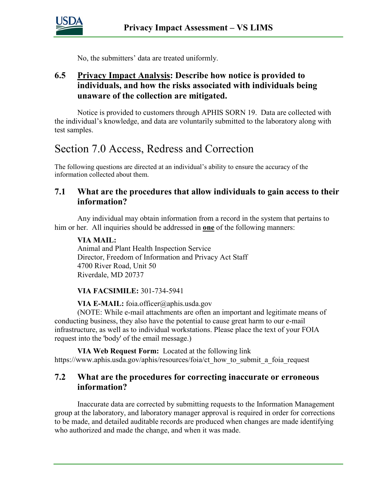

No, the submitters' data are treated uniformly.

### **6.5 Privacy Impact Analysis: Describe how notice is provided to individuals, and how the risks associated with individuals being unaware of the collection are mitigated.**

Notice is provided to customers through APHIS SORN 19. Data are collected with the individual's knowledge, and data are voluntarily submitted to the laboratory along with test samples.

# Section 7.0 Access, Redress and Correction

The following questions are directed at an individual's ability to ensure the accuracy of the information collected about them.

#### **7.1 What are the procedures that allow individuals to gain access to their information?**

Any individual may obtain information from a record in the system that pertains to him or her. All inquiries should be addressed in **one** of the following manners:

#### **VIA MAIL:**

Animal and Plant Health Inspection Service Director, Freedom of Information and Privacy Act Staff 4700 River Road, Unit 50 Riverdale, MD 20737

#### **VIA FACSIMILE:** 301-734-5941

**VIA E-MAIL:** foia.officer@aphis.usda.gov

(NOTE: While e-mail attachments are often an important and legitimate means of conducting business, they also have the potential to cause great harm to our e-mail infrastructure, as well as to individual workstations. Please place the text of your FOIA request into the 'body' of the email message.)

**VIA Web Request Form:** Located at the following link https://www.aphis.usda.gov/aphis/resources/foia/ct\_how\_to\_submit\_a\_foia\_request

#### **7.2 What are the procedures for correcting inaccurate or erroneous information?**

Inaccurate data are corrected by submitting requests to the Information Management group at the laboratory, and laboratory manager approval is required in order for corrections to be made, and detailed auditable records are produced when changes are made identifying who authorized and made the change, and when it was made.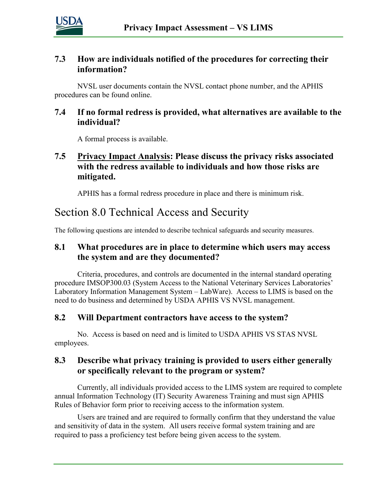

#### **7.3 How are individuals notified of the procedures for correcting their information?**

NVSL user documents contain the NVSL contact phone number, and the APHIS procedures can be found online.

#### **7.4 If no formal redress is provided, what alternatives are available to the individual?**

A formal process is available.

### **7.5 Privacy Impact Analysis: Please discuss the privacy risks associated with the redress available to individuals and how those risks are mitigated.**

APHIS has a formal redress procedure in place and there is minimum risk.

# Section 8.0 Technical Access and Security

The following questions are intended to describe technical safeguards and security measures.

### **8.1 What procedures are in place to determine which users may access the system and are they documented?**

Criteria, procedures, and controls are documented in the internal standard operating procedure IMSOP300.03 (System Access to the National Veterinary Services Laboratories' Laboratory Information Management System – LabWare). Access to LIMS is based on the need to do business and determined by USDA APHIS VS NVSL management.

#### **8.2 Will Department contractors have access to the system?**

No. Access is based on need and is limited to USDA APHIS VS STAS NVSL employees.

### **8.3 Describe what privacy training is provided to users either generally or specifically relevant to the program or system?**

Currently, all individuals provided access to the LIMS system are required to complete annual Information Technology (IT) Security Awareness Training and must sign APHIS Rules of Behavior form prior to receiving access to the information system.

Users are trained and are required to formally confirm that they understand the value and sensitivity of data in the system. All users receive formal system training and are required to pass a proficiency test before being given access to the system.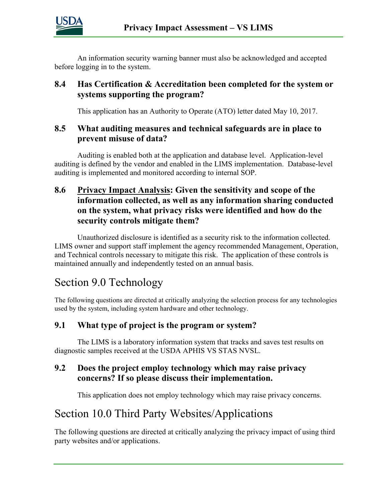

An information security warning banner must also be acknowledged and accepted before logging in to the system.

#### **8.4 Has Certification & Accreditation been completed for the system or systems supporting the program?**

This application has an Authority to Operate (ATO) letter dated May 10, 2017.

#### **8.5 What auditing measures and technical safeguards are in place to prevent misuse of data?**

Auditing is enabled both at the application and database level. Application-level auditing is defined by the vendor and enabled in the LIMS implementation. Database-level auditing is implemented and monitored according to internal SOP.

### **8.6 Privacy Impact Analysis: Given the sensitivity and scope of the information collected, as well as any information sharing conducted on the system, what privacy risks were identified and how do the security controls mitigate them?**

Unauthorized disclosure is identified as a security risk to the information collected. LIMS owner and support staff implement the agency recommended Management, Operation, and Technical controls necessary to mitigate this risk. The application of these controls is maintained annually and independently tested on an annual basis.

# Section 9.0 Technology

The following questions are directed at critically analyzing the selection process for any technologies used by the system, including system hardware and other technology.

### **9.1 What type of project is the program or system?**

The LIMS is a laboratory information system that tracks and saves test results on diagnostic samples received at the USDA APHIS VS STAS NVSL.

### **9.2 Does the project employ technology which may raise privacy concerns? If so please discuss their implementation.**

This application does not employ technology which may raise privacy concerns.

# Section 10.0 Third Party Websites/Applications

The following questions are directed at critically analyzing the privacy impact of using third party websites and/or applications.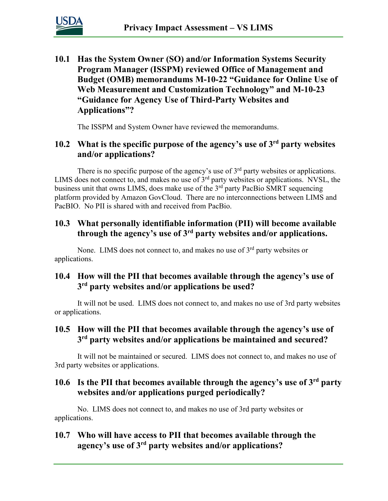

**10.1 Has the System Owner (SO) and/or Information Systems Security Program Manager (ISSPM) reviewed Office of Management and Budget (OMB) memorandums M-10-22 "Guidance for Online Use of Web Measurement and Customization Technology" and M-10-23 "Guidance for Agency Use of Third-Party Websites and Applications"?**

The ISSPM and System Owner have reviewed the memorandums.

### **10.2 What is the specific purpose of the agency's use of 3rd party websites and/or applications?**

There is no specific purpose of the agency's use of  $3<sup>rd</sup>$  party websites or applications. LIMS does not connect to, and makes no use of 3<sup>rd</sup> party websites or applications. NVSL, the business unit that owns LIMS, does make use of the 3<sup>rd</sup> party PacBio SMRT sequencing platform provided by Amazon GovCloud. There are no interconnections between LIMS and PacBIO. No PII is shared with and received from PacBio.

### **10.3 What personally identifiable information (PII) will become available through the agency's use of 3rd party websites and/or applications.**

None. LIMS does not connect to, and makes no use of  $3<sup>rd</sup>$  party websites or applications.

### **10.4 How will the PII that becomes available through the agency's use of 3rd party websites and/or applications be used?**

It will not be used. LIMS does not connect to, and makes no use of 3rd party websites or applications.

### **10.5 How will the PII that becomes available through the agency's use of 3rd party websites and/or applications be maintained and secured?**

It will not be maintained or secured. LIMS does not connect to, and makes no use of 3rd party websites or applications.

### **10.6 Is the PII that becomes available through the agency's use of 3rd party websites and/or applications purged periodically?**

No. LIMS does not connect to, and makes no use of 3rd party websites or applications.

### **10.7 Who will have access to PII that becomes available through the agency's use of 3rd party websites and/or applications?**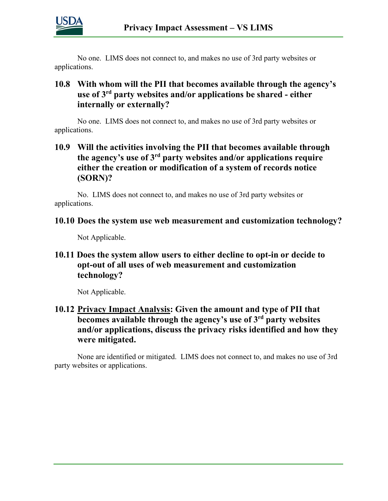

No one. LIMS does not connect to, and makes no use of 3rd party websites or applications.

#### **10.8 With whom will the PII that becomes available through the agency's use of 3rd party websites and/or applications be shared - either internally or externally?**

No one. LIMS does not connect to, and makes no use of 3rd party websites or applications.

### **10.9 Will the activities involving the PII that becomes available through the agency's use of 3rd party websites and/or applications require either the creation or modification of a system of records notice (SORN)?**

No. LIMS does not connect to, and makes no use of 3rd party websites or applications.

#### **10.10 Does the system use web measurement and customization technology?**

Not Applicable.

#### **10.11 Does the system allow users to either decline to opt-in or decide to opt-out of all uses of web measurement and customization technology?**

Not Applicable.

### **10.12 Privacy Impact Analysis: Given the amount and type of PII that becomes available through the agency's use of 3rd party websites and/or applications, discuss the privacy risks identified and how they were mitigated.**

None are identified or mitigated. LIMS does not connect to, and makes no use of 3rd party websites or applications.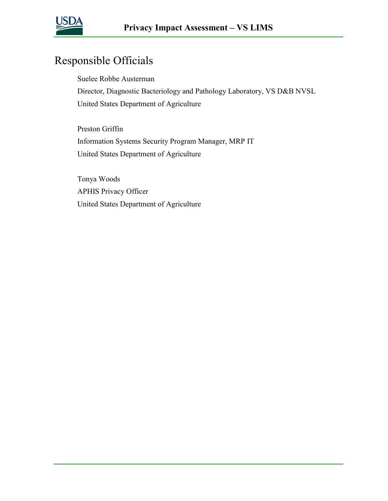

# Responsible Officials

Suelee Robbe Austerman Director, Diagnostic Bacteriology and Pathology Laboratory, VS D&B NVSL United States Department of Agriculture

Preston Griffin Information Systems Security Program Manager, MRP IT United States Department of Agriculture

Tonya Woods APHIS Privacy Officer United States Department of Agriculture